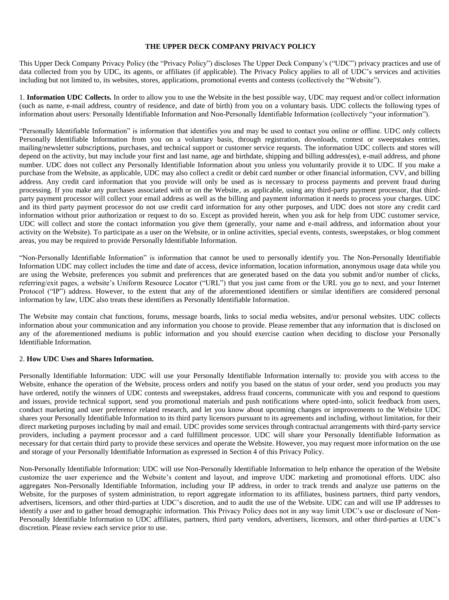### **THE UPPER DECK COMPANY PRIVACY POLICY**

This Upper Deck Company Privacy Policy (the "Privacy Policy") discloses The Upper Deck Company's ("UDC") privacy practices and use of data collected from you by UDC, its agents, or affiliates (if applicable). The Privacy Policy applies to all of UDC's services and activities including but not limited to, its websites, stores, applications, promotional events and contests (collectively the "Website").

1. **Information UDC Collects.** In order to allow you to use the Website in the best possible way, UDC may request and/or collect information (such as name, e-mail address, country of residence, and date of birth) from you on a voluntary basis. UDC collects the following types of information about users: Personally Identifiable Information and Non-Personally Identifiable Information (collectively "your information").

"Personally Identifiable Information" is information that identifies you and may be used to contact you online or offline. UDC only collects Personally Identifiable Information from you on a voluntary basis, through registration, downloads, contest or sweepstakes entries, mailing/newsletter subscriptions, purchases, and technical support or customer service requests. The information UDC collects and stores will depend on the activity, but may include your first and last name, age and birthdate, shipping and billing address(es), e-mail address, and phone number. UDC does not collect any Personally Identifiable Information about you unless you voluntarily provide it to UDC. If you make a purchase from the Website, as applicable, UDC may also collect a credit or debit card number or other financial information, CVV, and billing address. Any credit card information that you provide will only be used as is necessary to process payments and prevent fraud during processing. If you make any purchases associated with or on the Website, as applicable, using any third-party payment processor, that thirdparty payment processor will collect your email address as well as the billing and payment information it needs to process your charges. UDC and its third party payment processor do not use credit card information for any other purposes, and UDC does not store any credit card information without prior authorization or request to do so. Except as provided herein, when you ask for help from UDC customer service, UDC will collect and store the contact information you give them (generally, your name and e-mail address, and information about your activity on the Website). To participate as a user on the Website, or in online activities, special events, contests, sweepstakes, or blog comment areas, you may be required to provide Personally Identifiable Information.

"Non-Personally Identifiable Information" is information that cannot be used to personally identify you. The Non-Personally Identifiable Information UDC may collect includes the time and date of access, device information, location information, anonymous usage data while you are using the Website, preferences you submit and preferences that are generated based on the data you submit and/or number of clicks, referring/exit pages, a website's Uniform Resource Locator ("URL") that you just came from or the URL you go to next, and your Internet Protocol ("IP") address. However, to the extent that any of the aforementioned identifiers or similar identifiers are considered personal information by law, UDC also treats these identifiers as Personally Identifiable Information.

The Website may contain chat functions, forums, message boards, links to social media websites, and/or personal websites. UDC collects information about your communication and any information you choose to provide. Please remember that any information that is disclosed on any of the aforementioned mediums is public information and you should exercise caution when deciding to disclose your Personally Identifiable Information.

#### 2. **How UDC Uses and Shares Information.**

Personally Identifiable Information: UDC will use your Personally Identifiable Information internally to: provide you with access to the Website, enhance the operation of the Website, process orders and notify you based on the status of your order, send you products you may have ordered, notify the winners of UDC contests and sweepstakes, address fraud concerns, communicate with you and respond to questions and issues, provide technical support, send you promotional materials and push notifications where opted-into, solicit feedback from users, conduct marketing and user preference related research, and let you know about upcoming changes or improvements to the Website UDC shares your Personally Identifiable Information to its third party licensors pursuant to its agreements and including, without limitation, for their direct marketing purposes including by mail and email. UDC provides some services through contractual arrangements with third-party service providers, including a payment processor and a card fulfillment processor. UDC will share your Personally Identifiable Information as necessary for that certain third party to provide these services and operate the Website. However, you may request more information on the use and storage of your Personally Identifiable Information as expressed in Section 4 of this Privacy Policy.

Non-Personally Identifiable Information: UDC will use Non-Personally Identifiable Information to help enhance the operation of the Website customize the user experience and the Website's content and layout, and improve UDC marketing and promotional efforts. UDC also aggregates Non-Personally Identifiable Information, including your IP address, in order to track trends and analyze use patterns on the Website, for the purposes of system administration, to report aggregate information to its affiliates, business partners, third party vendors, advertisers, licensors, and other third-parties at UDC's discretion, and to audit the use of the Website. UDC can and will use IP addresses to identify a user and to gather broad demographic information. This Privacy Policy does not in any way limit UDC's use or disclosure of Non-Personally Identifiable Information to UDC affiliates, partners, third party vendors, advertisers, licensors, and other third-parties at UDC's discretion. Please review each service prior to use.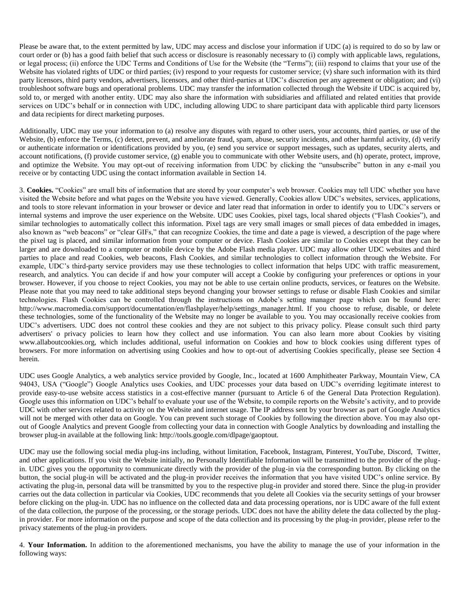Please be aware that, to the extent permitted by law, UDC may access and disclose your information if UDC (a) is required to do so by law or court order or (b) has a good faith belief that such access or disclosure is reasonably necessary to (i) comply with applicable laws, regulations, or legal process; (ii) enforce the UDC Terms and Conditions of Use for the Website (the "Terms"); (iii) respond to claims that your use of the Website has violated rights of UDC or third parties; (iv) respond to your requests for customer service; (v) share such information with its third party licensors, third party vendors, advertisers, licensors, and other third-parties at UDC's discretion per any agreement or obligation; and (vi) troubleshoot software bugs and operational problems. UDC may transfer the information collected through the Website if UDC is acquired by, sold to, or merged with another entity. UDC may also share the information with subsidiaries and affiliated and related entities that provide services on UDC's behalf or in connection with UDC, including allowing UDC to share participant data with applicable third party licensors and data recipients for direct marketing purposes.

Additionally, UDC may use your information to (a) resolve any disputes with regard to other users, your accounts, third parties, or use of the Website, (b) enforce the Terms, (c) detect, prevent, and ameliorate fraud, spam, abuse, security incidents, and other harmful activity, (d) verify or authenticate information or identifications provided by you, (e) send you service or support messages, such as updates, security alerts, and account notifications, (f) provide customer service, (g) enable you to communicate with other Website users, and (h) operate, protect, improve, and optimize the Website. You may opt-out of receiving information from UDC by clicking the "unsubscribe" button in any e-mail you receive or by contacting UDC using the contact information available in Section 14.

3. **Cookies.** "Cookies" are small bits of information that are stored by your computer's web browser. Cookies may tell UDC whether you have visited the Website before and what pages on the Website you have viewed. Generally, Cookies allow UDC's websites, services, applications, and tools to store relevant information in your browser or device and later read that information in order to identify you to UDC's servers or internal systems and improve the user experience on the Website. UDC uses Cookies, pixel tags, local shared objects ("Flash Cookies"), and similar technologies to automatically collect this information. Pixel tags are very small images or small pieces of data embedded in images, also known as "web beacons" or "clear GIFs," that can recognize Cookies, the time and date a page is viewed, a description of the page where the pixel tag is placed, and similar information from your computer or device. Flash Cookies are similar to Cookies except that they can be larger and are downloaded to a computer or mobile device by the Adobe Flash media player. UDC may allow other UDC websites and third parties to place and read Cookies, web beacons, Flash Cookies, and similar technologies to collect information through the Website. For example, UDC's third-party service providers may use these technologies to collect information that helps UDC with traffic measurement, research, and analytics. You can decide if and how your computer will accept a Cookie by configuring your preferences or options in your browser. However, if you choose to reject Cookies, you may not be able to use certain online products, services, or features on the Website. Please note that you may need to take additional steps beyond changing your browser settings to refuse or disable Flash Cookies and similar technologies. Flash Cookies can be controlled through the instructions on Adobe's setting manager page which can be found here: http://www.macromedia.com/support/documentation/en/flashplayer/help/settings\_manager.html. If you choose to refuse, disable, or delete these technologies, some of the functionality of the Website may no longer be available to you. You may occasionally receive cookies from UDC's advertisers. UDC does not control these cookies and they are not subject to this privacy policy. Please consult such third party advertisers' o privacy policies to learn how they collect and use information. You can also learn more about Cookies by visiting www.allaboutcookies.org, which includes additional, useful information on Cookies and how to block cookies using different types of browsers. For more information on advertising using Cookies and how to opt-out of advertising Cookies specifically, please see Section 4 herein.

UDC uses Google Analytics, a web analytics service provided by Google, Inc., located at 1600 Amphitheater Parkway, Mountain View, CA 94043, USA ("Google") Google Analytics uses Cookies, and UDC processes your data based on UDC's overriding legitimate interest to provide easy-to-use website access statistics in a cost-effective manner (pursuant to Article 6 of the General Data Protection Regulation). Google uses this information on UDC's behalf to evaluate your use of the Website, to compile reports on the Website's activity, and to provide UDC with other services related to activity on the Website and internet usage. The IP address sent by your browser as part of Google Analytics will not be merged with other data on Google. You can prevent such storage of Cookies by following the direction above. You may also optout of Google Analytics and prevent Google from collecting your data in connection with Google Analytics by downloading and installing the browser plug-in available at the following link: http://tools.google.com/dlpage/gaoptout.

UDC may use the following social media plug-ins including, without limitation, Facebook, Instagram, Pinterest, YouTube, Discord, Twitter, and other applications. If you visit the Website initially, no Personally Identifiable Information will be transmitted to the provider of the plugin. UDC gives you the opportunity to communicate directly with the provider of the plug-in via the corresponding button. By clicking on the button, the social plug-in will be activated and the plug-in provider receives the information that you have visited UDC's online service. By activating the plug-in, personal data will be transmitted by you to the respective plug-in provider and stored there. Since the plug-in provider carries out the data collection in particular via Cookies, UDC recommends that you delete all Cookies via the security settings of your browser before clicking on the plug-in. UDC has no influence on the collected data and data processing operations, nor is UDC aware of the full extent of the data collection, the purpose of the processing, or the storage periods. UDC does not have the ability delete the data collected by the plugin provider. For more information on the purpose and scope of the data collection and its processing by the plug-in provider, please refer to the privacy statements of the plug-in providers.

4. **Your Information.** In addition to the aforementioned mechanisms, you have the ability to manage the use of your information in the following ways: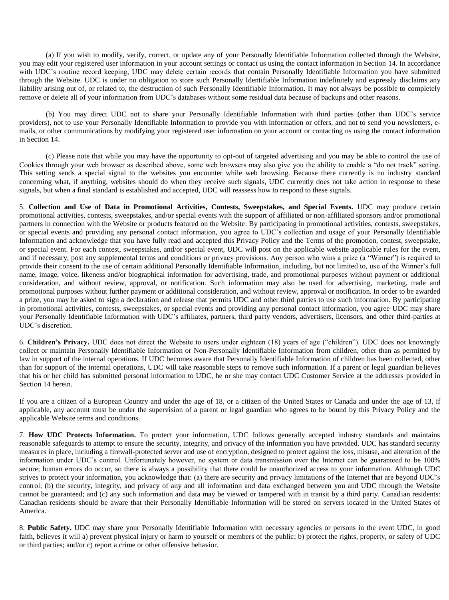(a) If you wish to modify, verify, correct, or update any of your Personally Identifiable Information collected through the Website, you may edit your registered user information in your account settings or contact us using the contact information in Section 14. In accordance with UDC's routine record keeping, UDC may delete certain records that contain Personally Identifiable Information you have submitted through the Website. UDC is under no obligation to store such Personally Identifiable Information indefinitely and expressly disclaims any liability arising out of, or related to, the destruction of such Personally Identifiable Information. It may not always be possible to completely remove or delete all of your information from UDC's databases without some residual data because of backups and other reasons.

(b) You may direct UDC not to share your Personally Identifiable Information with third parties (other than UDC's service providers), not to use your Personally Identifiable Information to provide you with information or offers, and not to send you newsletters, emails, or other communications by modifying your registered user information on your account or contacting us using the contact information in Section 14.

(c) Please note that while you may have the opportunity to opt-out of targeted advertising and you may be able to control the use of Cookies through your web browser as described above, some web browsers may also give you the ability to enable a "do not track" setting. This setting sends a special signal to the websites you encounter while web browsing. Because there currently is no industry standard concerning what, if anything, websites should do when they receive such signals, UDC currently does not take action in response to these signals, but when a final standard is established and accepted, UDC will reassess how to respond to these signals.

5. **Collection and Use of Data in Promotional Activities, Contests, Sweepstakes, and Special Events.** UDC may produce certain promotional activities, contests, sweepstakes, and/or special events with the support of affiliated or non-affiliated sponsors and/or promotional partners in connection with the Website or products featured on the Website. By participating in promotional activities, contests, sweepstakes, or special events and providing any personal contact information, you agree to UDC's collection and usage of your Personally Identifiable Information and acknowledge that you have fully read and accepted this Privacy Policy and the Terms of the promotion, contest, sweepstake, or special event. For each contest, sweepstakes, and/or special event, UDC will post on the applicable website applicable rules for the event, and if necessary, post any supplemental terms and conditions or privacy provisions. Any person who wins a prize (a "Winner") is required to provide their consent to the use of certain additional Personally Identifiable Information, including, but not limited to, use of the Winner's full name, image, voice, likeness and/or biographical information for advertising, trade, and promotional purposes without payment or additional consideration, and without review, approval, or notification. Such information may also be used for advertising, marketing, trade and promotional purposes without further payment or additional consideration, and without review, approval or notification. In order to be awarded a prize, you may be asked to sign a declaration and release that permits UDC and other third parties to use such information. By participating in promotional activities, contests, sweepstakes, or special events and providing any personal contact information, you agree UDC may share your Personally Identifiable Information with UDC's affiliates, partners, third party vendors, advertisers, licensors, and other third-parties at UDC's discretion.

6. **Children's Privacy.** UDC does not direct the Website to users under eighteen (18) years of age ("children"). UDC does not knowingly collect or maintain Personally Identifiable Information or Non-Personally Identifiable Information from children, other than as permitted by law in support of the internal operations. If UDC becomes aware that Personally Identifiable Information of children has been collected, other than for support of the internal operations, UDC will take reasonable steps to remove such information. If a parent or legal guardian believes that his or her child has submitted personal information to UDC, he or she may contact UDC Customer Service at the addresses provided in Section 14 herein.

If you are a citizen of a European Country and under the age of 18, or a citizen of the United States or Canada and under the age of 13, if applicable, any account must be under the supervision of a parent or legal guardian who agrees to be bound by this Privacy Policy and the applicable Website terms and conditions.

7. **How UDC Protects Information.** To protect your information, UDC follows generally accepted industry standards and maintains reasonable safeguards to attempt to ensure the security, integrity, and privacy of the information you have provided. UDC has standard security measures in place, including a firewall-protected server and use of encryption, designed to protect against the loss, misuse, and alteration of the information under UDC's control. Unfortunately however, no system or data transmission over the Internet can be guaranteed to be 100% secure; human errors do occur, so there is always a possibility that there could be unauthorized access to your information. Although UDC strives to protect your information, you acknowledge that: (a) there are security and privacy limitations of the Internet that are beyond UDC's control; (b) the security, integrity, and privacy of any and all information and data exchanged between you and UDC through the Website cannot be guaranteed; and (c) any such information and data may be viewed or tampered with in transit by a third party. Canadian residents: Canadian residents should be aware that their Personally Identifiable Information will be stored on servers located in the United States of America.

8. **Public Safety.** UDC may share your Personally Identifiable Information with necessary agencies or persons in the event UDC, in good faith, believes it will a) prevent physical injury or harm to yourself or members of the public; b) protect the rights, property, or safety of UDC or third parties; and/or c) report a crime or other offensive behavior.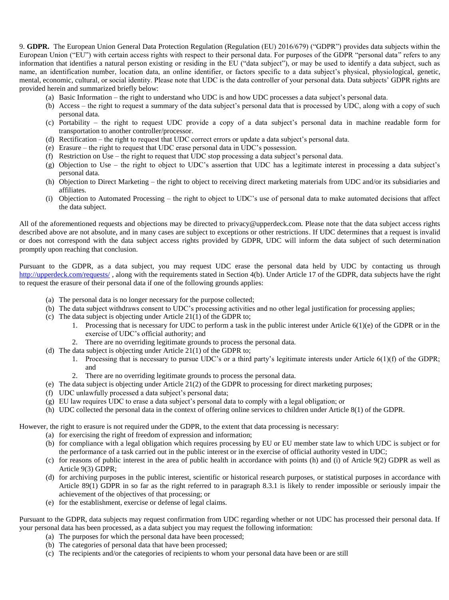9. **GDPR.** The European Union General Data Protection Regulation (Regulation (EU) 2016/679) ("GDPR") provides data subjects within the European Union ("EU") with certain access rights with respect to their personal data. For purposes of the GDPR "personal data" refers to any information that identifies a natural person existing or residing in the EU ("data subject"), or may be used to identify a data subject, such as name, an identification number, location data, an online identifier, or factors specific to a data subject's physical, physiological, genetic, mental, economic, cultural, or social identity. Please note that UDC is the data controller of your personal data. Data subjects' GDPR rights are provided herein and summarized briefly below:

- (a) Basic Information the right to understand who UDC is and how UDC processes a data subject's personal data.
- (b) Access the right to request a summary of the data subject's personal data that is processed by UDC, along with a copy of such personal data.
- (c) Portability the right to request UDC provide a copy of a data subject's personal data in machine readable form for transportation to another controller/processor.
- (d) Rectification the right to request that UDC correct errors or update a data subject's personal data.
- (e) Erasure the right to request that UDC erase personal data in UDC's possession.
- (f) Restriction on Use the right to request that UDC stop processing a data subject's personal data.
- (g) Objection to Use the right to object to UDC's assertion that UDC has a legitimate interest in processing a data subject's personal data.
- (h) Objection to Direct Marketing the right to object to receiving direct marketing materials from UDC and/or its subsidiaries and affiliates.
- (i) Objection to Automated Processing the right to object to UDC's use of personal data to make automated decisions that affect the data subject.

All of the aforementioned requests and objections may be directed to privacy@upperdeck.com. Please note that the data subject access rights described above are not absolute, and in many cases are subject to exceptions or other restrictions. If UDC determines that a request is invalid or does not correspond with the data subject access rights provided by GDPR, UDC will inform the data subject of such determination promptly upon reaching that conclusion.

Pursuant to the GDPR, as a data subject, you may request UDC erase the personal data held by UDC by contacting us through <http://upperdeck.com/requests/>, along with the requirements stated in Section 4(b). Under Article 17 of the GDPR, data subjects have the right to request the erasure of their personal data if one of the following grounds applies:

- (a) The personal data is no longer necessary for the purpose collected;
- (b) The data subject withdraws consent to UDC's processing activities and no other legal justification for processing applies;
- (c) The data subject is objecting under Article 21(1) of the GDPR to;
	- 1. Processing that is necessary for UDC to perform a task in the public interest under Article 6(1)(e) of the GDPR or in the exercise of UDC's official authority; and
	- 2. There are no overriding legitimate grounds to process the personal data.
- (d) The data subject is objecting under Article 21(1) of the GDPR to;
	- 1. Processing that is necessary to pursue UDC's or a third party's legitimate interests under Article  $6(1)(f)$  of the GDPR; and
	- 2. There are no overriding legitimate grounds to process the personal data.
- (e) The data subject is objecting under Article 21(2) of the GDPR to processing for direct marketing purposes;
- (f) UDC unlawfully processed a data subject's personal data;
- (g) EU law requires UDC to erase a data subject's personal data to comply with a legal obligation; or
- (h) UDC collected the personal data in the context of offering online services to children under Article 8(1) of the GDPR.

However, the right to erasure is not required under the GDPR, to the extent that data processing is necessary:

- (a) for exercising the right of freedom of expression and information;
- (b) for compliance with a legal obligation which requires processing by EU or EU member state law to which UDC is subject or for the performance of a task carried out in the public interest or in the exercise of official authority vested in UDC;
- (c) for reasons of public interest in the area of public health in accordance with points (h) and (i) of Article 9(2) GDPR as well as Article 9(3) GDPR;
- (d) for archiving purposes in the public interest, scientific or historical research purposes, or statistical purposes in accordance with Article 89(1) GDPR in so far as the right referred to in paragraph 8.3.1 is likely to render impossible or seriously impair the achievement of the objectives of that processing; or
- (e) for the establishment, exercise or defense of legal claims.

Pursuant to the GDPR, data subjects may request confirmation from UDC regarding whether or not UDC has processed their personal data. If your personal data has been processed, as a data subject you may request the following information:

- (a) The purposes for which the personal data have been processed;
- (b) The categories of personal data that have been processed;
- (c) The recipients and/or the categories of recipients to whom your personal data have been or are still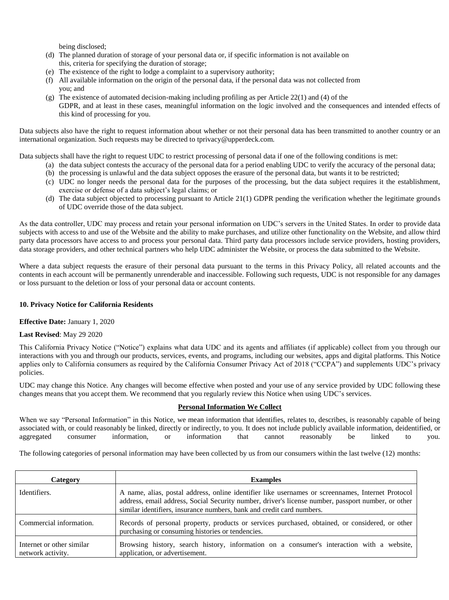being disclosed;

- (d) The planned duration of storage of your personal data or, if specific information is not available on this, criteria for specifying the duration of storage;
- (e) The existence of the right to lodge a complaint to a supervisory authority;
- (f) All available information on the origin of the personal data, if the personal data was not collected from you; and
- (g) The existence of automated decision-making including profiling as per Article 22(1) and (4) of the GDPR, and at least in these cases, meaningful information on the logic involved and the consequences and intended effects of this kind of processing for you.

Data subjects also have the right to request information about whether or not their personal data has been transmitted to another country or an international organization. Such requests may be directed to tprivacy@upperdeck.com.

Data subjects shall have the right to request UDC to restrict processing of personal data if one of the following conditions is met:

- (a) the data subject contests the accuracy of the personal data for a period enabling UDC to verify the accuracy of the personal data; (b) the processing is unlawful and the data subject opposes the erasure of the personal data, but wants it to be restricted;
- (c) UDC no longer needs the personal data for the purposes of the processing, but the data subject requires it the establishment, exercise or defense of a data subject's legal claims; or
- (d) The data subject objected to processing pursuant to Article 21(1) GDPR pending the verification whether the legitimate grounds of UDC override those of the data subject.

As the data controller, UDC may process and retain your personal information on UDC's servers in the United States. In order to provide data subjects with access to and use of the Website and the ability to make purchases, and utilize other functionality on the Website, and allow third party data processors have access to and process your personal data. Third party data processors include service providers, hosting providers, data storage providers, and other technical partners who help UDC administer the Website, or process the data submitted to the Website.

Where a data subject requests the erasure of their personal data pursuant to the terms in this Privacy Policy, all related accounts and the contents in each account will be permanently unrenderable and inaccessible. Following such requests, UDC is not responsible for any damages or loss pursuant to the deletion or loss of your personal data or account contents.

## **10. Privacy Notice for California Residents**

## **Effective Date:** January 1, 2020

## **Last Revised**: May 29 2020

This California Privacy Notice ("Notice") explains what data UDC and its agents and affiliates (if applicable) collect from you through our interactions with you and through our products, services, events, and programs, including our websites, apps and digital platforms. This Notice applies only to California consumers as required by the California Consumer Privacy Act of 2018 ("CCPA") and supplements UDC's privacy policies.

UDC may change this Notice. Any changes will become effective when posted and your use of any service provided by UDC following these changes means that you accept them. We recommend that you regularly review this Notice when using UDC's services.

## **Personal Information We Collect**

When we say "Personal Information" in this Notice, we mean information that identifies, relates to, describes, is reasonably capable of being associated with, or could reasonably be linked, directly or indirectly, to you. It does not include publicly available information, deidentified, or aggregated consumer information, or information that cannot reasonably be linked to you.

The following categories of personal information may have been collected by us from our consumers within the last twelve (12) months:

| Category                                       | <b>Examples</b>                                                                                                                                                                                                                                                                  |
|------------------------------------------------|----------------------------------------------------------------------------------------------------------------------------------------------------------------------------------------------------------------------------------------------------------------------------------|
| Identifiers.                                   | A name, alias, postal address, online identifier like usernames or screen ames, Internet Protocol<br>address, email address, Social Security number, driver's license number, passport number, or other<br>similar identifiers, insurance numbers, bank and credit card numbers. |
| Commercial information.                        | Records of personal property, products or services purchased, obtained, or considered, or other<br>purchasing or consuming histories or tendencies.                                                                                                                              |
| Internet or other similar<br>network activity. | Browsing history, search history, information on a consumer's interaction with a website,<br>application, or advertisement.                                                                                                                                                      |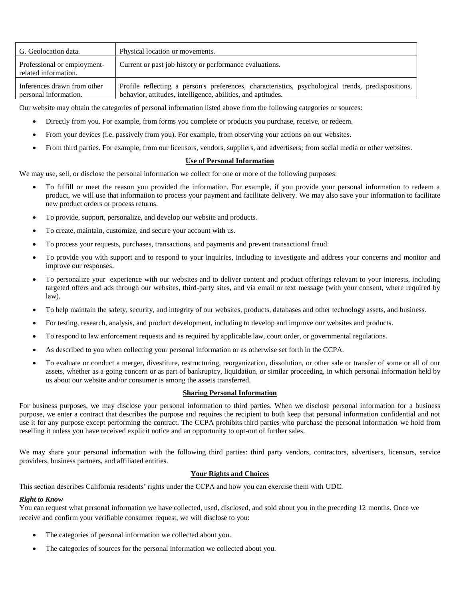| G. Geolocation data.                                 | Physical location or movements.                                                                                                                                    |
|------------------------------------------------------|--------------------------------------------------------------------------------------------------------------------------------------------------------------------|
| Professional or employment-<br>related information.  | Current or past job history or performance evaluations.                                                                                                            |
| Inferences drawn from other<br>personal information. | Profile reflecting a person's preferences, characteristics, psychological trends, predispositions,<br>behavior, attitudes, intelligence, abilities, and aptitudes. |

Our website may obtain the categories of personal information listed above from the following categories or sources:

- Directly from you. For example, from forms you complete or products you purchase, receive, or redeem.
- From your devices (i.e. passively from you). For example, from observing your actions on our websites.
- From third parties. For example, from our licensors, vendors, suppliers, and advertisers; from social media or other websites.

#### **Use of Personal Information**

We may use, sell, or disclose the personal information we collect for one or more of the following purposes:

- To fulfill or meet the reason you provided the information. For example, if you provide your personal information to redeem a product, we will use that information to process your payment and facilitate delivery. We may also save your information to facilitate new product orders or process returns.
- To provide, support, personalize, and develop our website and products.
- To create, maintain, customize, and secure your account with us.
- To process your requests, purchases, transactions, and payments and prevent transactional fraud.
- To provide you with support and to respond to your inquiries, including to investigate and address your concerns and monitor and improve our responses.
- To personalize your experience with our websites and to deliver content and product offerings relevant to your interests, including targeted offers and ads through our websites, third-party sites, and via email or text message (with your consent, where required by law).
- To help maintain the safety, security, and integrity of our websites, products, databases and other technology assets, and business.
- For testing, research, analysis, and product development, including to develop and improve our websites and products.
- To respond to law enforcement requests and as required by applicable law, court order, or governmental regulations.
- As described to you when collecting your personal information or as otherwise set forth in the CCPA.
- To evaluate or conduct a merger, divestiture, restructuring, reorganization, dissolution, or other sale or transfer of some or all of our assets, whether as a going concern or as part of bankruptcy, liquidation, or similar proceeding, in which personal information held by us about our website and/or consumer is among the assets transferred.

# **Sharing Personal Information**

For business purposes, we may disclose your personal information to third parties. When we disclose personal information for a business purpose, we enter a contract that describes the purpose and requires the recipient to both keep that personal information confidential and not use it for any purpose except performing the contract. The CCPA prohibits third parties who purchase the personal information we hold from reselling it unless you have received explicit notice and an opportunity to opt-out of further sales.

We may share your personal information with the following third parties: third party vendors, contractors, advertisers, licensors, service providers, business partners, and affiliated entities.

## **Your Rights and Choices**

This section describes California residents' rights under the CCPA and how you can exercise them with UDC.

## *Right to Know*

You can request what personal information we have collected, used, disclosed, and sold about you in the preceding 12 months. Once we receive and confirm your verifiable consumer request, we will disclose to you:

- The categories of personal information we collected about you.
- The categories of sources for the personal information we collected about you.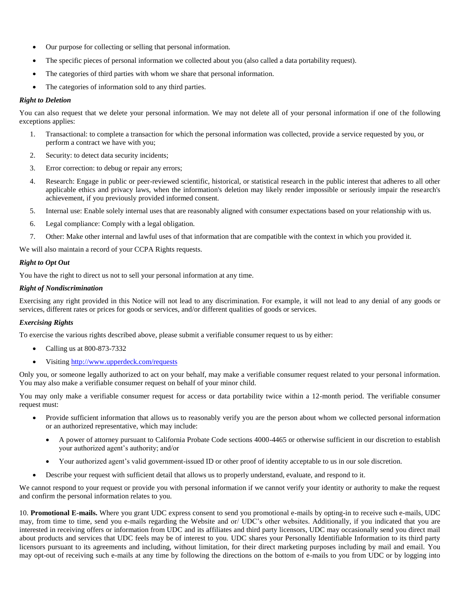- Our purpose for collecting or selling that personal information.
- The specific pieces of personal information we collected about you (also called a data portability request).
- The categories of third parties with whom we share that personal information.
- The categories of information sold to any third parties.

### *Right to Deletion*

You can also request that we delete your personal information. We may not delete all of your personal information if one of the following exceptions applies:

- 1. Transactional: to complete a transaction for which the personal information was collected, provide a service requested by you, or perform a contract we have with you;
- 2. Security: to detect data security incidents;
- 3. Error correction: to debug or repair any errors;
- 4. Research: Engage in public or peer-reviewed scientific, historical, or statistical research in the public interest that adheres to all other applicable ethics and privacy laws, when the information's deletion may likely render impossible or seriously impair the research's achievement, if you previously provided informed consent.
- 5. Internal use: Enable solely internal uses that are reasonably aligned with consumer expectations based on your relationship with us.
- 6. Legal compliance: Comply with a legal obligation.
- 7. Other: Make other internal and lawful uses of that information that are compatible with the context in which you provided it.

We will also maintain a record of your CCPA Rights requests.

### *Right to Opt Out*

You have the right to direct us not to sell your personal information at any time.

# *Right of Nondiscrimination*

Exercising any right provided in this Notice will not lead to any discrimination. For example, it will not lead to any denial of any goods or services, different rates or prices for goods or services, and/or different qualities of goods or services.

## *Exercising Rights*

To exercise the various rights described above, please submit a verifiable consumer request to us by either:

- Calling us at 800-873-7332
- Visiting<http://www.upperdeck.com/requests>

Only you, or someone legally authorized to act on your behalf, may make a verifiable consumer request related to your personal information. You may also make a verifiable consumer request on behalf of your minor child.

You may only make a verifiable consumer request for access or data portability twice within a 12-month period. The verifiable consumer request must:

- Provide sufficient information that allows us to reasonably verify you are the person about whom we collected personal information or an authorized representative, which may include:
	- A power of attorney pursuant to California Probate Code sections 4000-4465 or otherwise sufficient in our discretion to establish your authorized agent's authority; and/or
	- Your authorized agent's valid government-issued ID or other proof of identity acceptable to us in our sole discretion.
- Describe your request with sufficient detail that allows us to properly understand, evaluate, and respond to it.

We cannot respond to your request or provide you with personal information if we cannot verify your identity or authority to make the request and confirm the personal information relates to you.

10. **Promotional E-mails.** Where you grant UDC express consent to send you promotional e-mails by opting-in to receive such e-mails, UDC may, from time to time, send you e-mails regarding the Website and or/ UDC's other websites. Additionally, if you indicated that you are interested in receiving offers or information from UDC and its affiliates and third party licensors, UDC may occasionally send you direct mail about products and services that UDC feels may be of interest to you. UDC shares your Personally Identifiable Information to its third party licensors pursuant to its agreements and including, without limitation, for their direct marketing purposes including by mail and email. You may opt-out of receiving such e-mails at any time by following the directions on the bottom of e-mails to you from UDC or by logging into